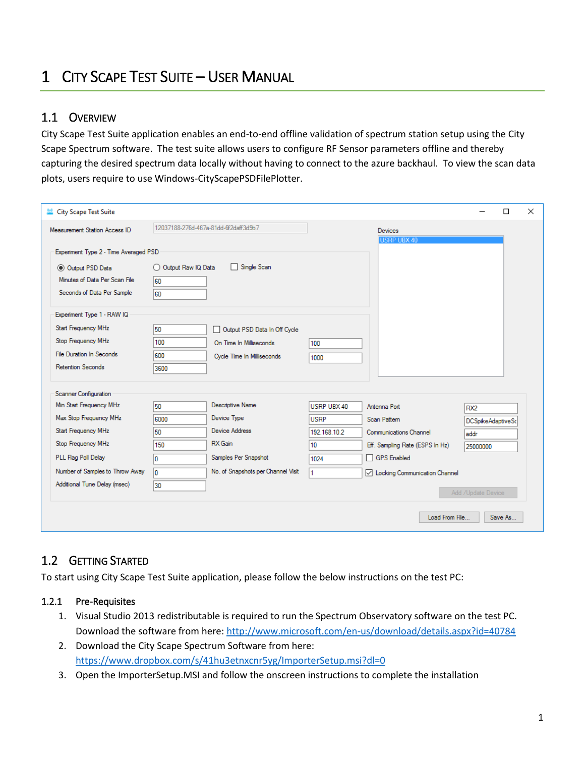# 1 CITY SCAPE TEST SUITE – USER MANUAL

## 1.1 OVERVIEW

City Scape Test Suite application enables an end-to-end offline validation of spectrum station setup using the City Scape Spectrum software. The test suite allows users to configure RF Sensor parameters offline and thereby capturing the desired spectrum data locally without having to connect to the azure backhaul. To view the scan data plots, users require to use Windows-CityScapePSDFilePlotter.

| City Scape Test Suite                 |                      |                                      |              |                                 |                    | □       | $\times$ |
|---------------------------------------|----------------------|--------------------------------------|--------------|---------------------------------|--------------------|---------|----------|
| Measurement Station Access ID         |                      | 12037188-276d-467a-81dd-6f2daff3d9b7 |              | <b>Devices</b><br>USRP UBX 40   |                    |         |          |
| Experiment Type 2 - Time Averaged PSD |                      |                                      |              |                                 |                    |         |          |
| O Output PSD Data                     | O Output Raw IQ Data | Single Scan                          |              |                                 |                    |         |          |
| Minutes of Data Per Scan File         | 60                   |                                      |              |                                 |                    |         |          |
| Seconds of Data Per Sample            | 60                   |                                      |              |                                 |                    |         |          |
| Experiment Type 1 - RAW IQ            |                      |                                      |              |                                 |                    |         |          |
| Start Frequency MHz                   | 50                   | Output PSD Data In Off Cycle         |              |                                 |                    |         |          |
| Stop Frequency MHz                    | 100                  | On Time In Milliseconds              | 100          |                                 |                    |         |          |
| <b>File Duration In Seconds</b>       | 600                  | Cycle Time In Milliseconds           | 1000         |                                 |                    |         |          |
| <b>Retention Seconds</b>              | 3600                 |                                      |              |                                 |                    |         |          |
| Scanner Configuration                 |                      |                                      |              |                                 |                    |         |          |
| Min Start Frequency MHz               | 50                   | Descriptive Name                     | USRP URX 40  | Antenna Port                    | RX <sub>2</sub>    |         |          |
| Max Stop Frequency MHz                | 6000                 | Device Type                          | <b>USRP</b>  | Scan Pattern                    | DCSpikeAdaptiveSc  |         |          |
| Start Frequency MHz                   | 50                   | <b>Device Address</b>                | 192.168.10.2 | Communications Channel          | addr               |         |          |
| Stop Frequency MHz                    | 150                  | RX Gain                              | 10           | Eff. Sampling Rate (ESPS In Hz) | 25000000           |         |          |
| PLL Flag Poll Delay                   | ١o                   | Samples Per Snapshot                 | 1024         | □ GPS Enabled                   |                    |         |          |
| Number of Samples to Throw Away       | ١o                   | No. of Snapshots per Channel Visit   | 1            | ◯ Locking Communication Channel |                    |         |          |
| Additional Tune Delay (msec)          | 30                   |                                      |              |                                 | Add /Update Device |         |          |
|                                       |                      |                                      |              | Load From File                  |                    | Save As |          |

# 1.2 GETTING STARTED

To start using City Scape Test Suite application, please follow the below instructions on the test PC:

#### 1.2.1 Pre-Requisites

- 1. Visual Studio 2013 redistributable is required to run the Spectrum Observatory software on the test PC. Download the software from here:<http://www.microsoft.com/en-us/download/details.aspx?id=40784>
- 2. Download the City Scape Spectrum Software from here: <https://www.dropbox.com/s/41hu3etnxcnr5yg/ImporterSetup.msi?dl=0>
- 3. Open the ImporterSetup.MSI and follow the onscreen instructions to complete the installation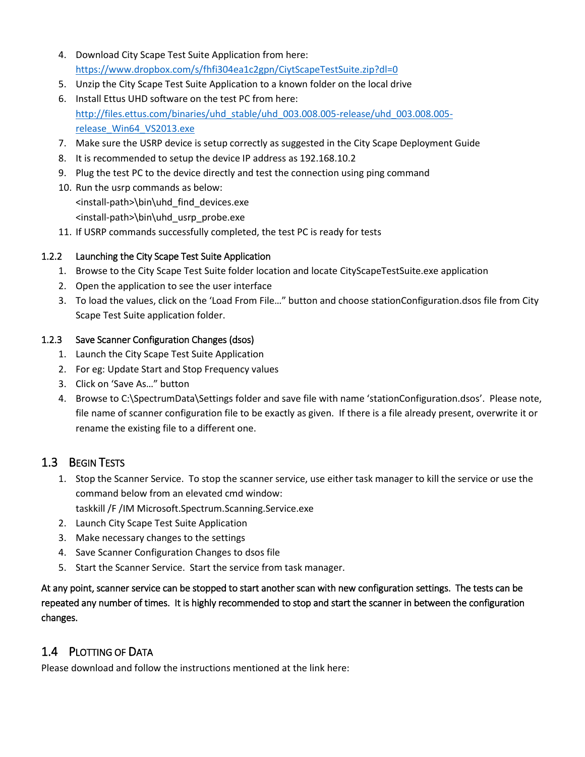- 4. Download City Scape Test Suite Application from here: <https://www.dropbox.com/s/fhfi304ea1c2gpn/CiytScapeTestSuite.zip?dl=0>
- 5. Unzip the City Scape Test Suite Application to a known folder on the local drive
- 6. Install Ettus UHD software on the test PC from here: [http://files.ettus.com/binaries/uhd\\_stable/uhd\\_003.008.005-release/uhd\\_003.008.005](http://files.ettus.com/binaries/uhd_stable/uhd_003.008.005-release/uhd_003.008.005-release_Win64_VS2013.exe) [release\\_Win64\\_VS2013.exe](http://files.ettus.com/binaries/uhd_stable/uhd_003.008.005-release/uhd_003.008.005-release_Win64_VS2013.exe)
- 7. Make sure the USRP device is setup correctly as suggested in the City Scape Deployment Guide
- 8. It is recommended to setup the device IP address as 192.168.10.2
- 9. Plug the test PC to the device directly and test the connection using ping command
- 10. Run the usrp commands as below: <install-path>\bin\uhd\_find\_devices.exe <install-path>\bin\uhd\_usrp\_probe.exe
- 11. If USRP commands successfully completed, the test PC is ready for tests

### 1.2.2 Launching the City Scape Test Suite Application

- 1. Browse to the City Scape Test Suite folder location and locate CityScapeTestSuite.exe application
- 2. Open the application to see the user interface
- 3. To load the values, click on the 'Load From File…" button and choose stationConfiguration.dsos file from City Scape Test Suite application folder.

### 1.2.3 Save Scanner Configuration Changes (dsos)

- 1. Launch the City Scape Test Suite Application
- 2. For eg: Update Start and Stop Frequency values
- 3. Click on 'Save As…" button
- 4. Browse to C:\SpectrumData\Settings folder and save file with name 'stationConfiguration.dsos'. Please note, file name of scanner configuration file to be exactly as given. If there is a file already present, overwrite it or rename the existing file to a different one.

## 1.3 BEGIN TESTS

- 1. Stop the Scanner Service. To stop the scanner service, use either task manager to kill the service or use the command below from an elevated cmd window:
	- taskkill /F /IM Microsoft.Spectrum.Scanning.Service.exe
- 2. Launch City Scape Test Suite Application
- 3. Make necessary changes to the settings
- 4. Save Scanner Configuration Changes to dsos file
- 5. Start the Scanner Service. Start the service from task manager.

At any point, scanner service can be stopped to start another scan with new configuration settings. The tests can be repeated any number of times. It is highly recommended to stop and start the scanner in between the configuration changes.

# 1.4 PLOTTING OF DATA

Please download and follow the instructions mentioned at the link here: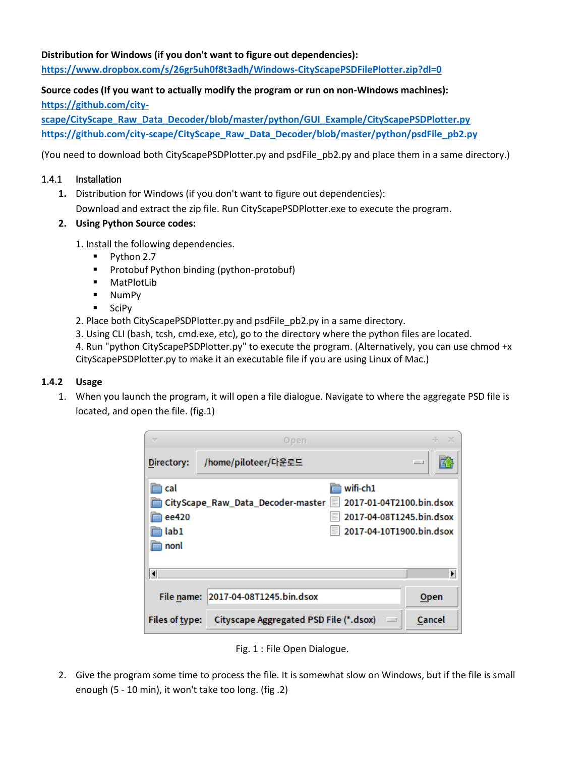**Distribution for Windows (if you don't want to figure out dependencies)[:](goog_454609450)**

**<https://www.dropbox.com/s/26gr5uh0f8t3adh/Windows-CityScapePSDFilePlotter.zip?dl=0>**

## **Source codes (If you want to actually modify the program or run on non-WIndows machines): [https://github.com/city-](https://github.com/city-scape/CityScape_Raw_Data_Decoder/blob/master/python/GUI_Example/CityScapePSDPlotter.py)**

**[scape/CityScape\\_Raw\\_Data\\_Decoder/blob/master/python/GUI\\_Example/CityScapePSDPlotter.py](https://github.com/city-scape/CityScape_Raw_Data_Decoder/blob/master/python/GUI_Example/CityScapePSDPlotter.py) [https://github.com/city-scape/CityScape\\_Raw\\_Data\\_Decoder/blob/master/python/psdFile\\_pb2.py](https://github.com/city-scape/CityScape_Raw_Data_Decoder/blob/master/python/psdFile_pb2.py)**

(You need to download both CityScapePSDPlotter.py and psdFile\_pb2.py and place them in a same directory.)

#### 1.4.1 Installation

- **1.** Distribution for Windows (if you don't want to figure out dependencies): Download and extract the zip file. Run CityScapePSDPlotter.exe to execute the program.
- **2. Using Python Source codes:**
	- 1. Install the following dependencies.
		- Python 2.7
		- Protobuf Python binding (python-protobuf)
		- MatPlotLib
		- NumPy
		- SciPy
	- 2. Place both CityScapePSDPlotter.py and psdFile pb2.py in a same directory.
	- 3. Using CLI (bash, tcsh, cmd.exe, etc), go to the directory where the python files are located.

4. Run "python CityScapePSDPlotter.py" to execute the program. (Alternatively, you can use chmod +x CityScapePSDPlotter.py to make it an executable file if you are using Linux of Mac.)

#### **1.4.2 Usage**

1. When you launch the program, it will open a file dialogue. Navigate to where the aggregate PSD file is located, and open the file. (fig.1)

|                            | Open                                                               |                       |
|----------------------------|--------------------------------------------------------------------|-----------------------|
| Directory:                 | /home/piloteer/다운로드                                                | $\equiv$              |
| ı cal                      | wifi-ch1                                                           |                       |
|                            | CityScape_Raw_Data_Decoder-master   2017-01-04T2100.bin.dsox       |                       |
| ee420                      | 2017-04-08T1245.bin.dsox                                           |                       |
| lab1                       | 2017-04-10T1900.bin.dsox                                           |                       |
| nonl                       |                                                                    |                       |
|                            |                                                                    |                       |
| $\vert \blacktriangleleft$ |                                                                    | $\blacktriangleright$ |
| File name:                 | 2017-04-08T1245.bin.dsox                                           | Open                  |
| <b>Files of type:</b>      | Cityscape Aggregated PSD File (*.dsox)<br>$\overline{\phantom{a}}$ | Cancel                |

Fig. 1 : File Open Dialogue.

2. Give the program some time to process the file. It is somewhat slow on Windows, but if the file is small enough (5 - 10 min), it won't take too long. (fig .2)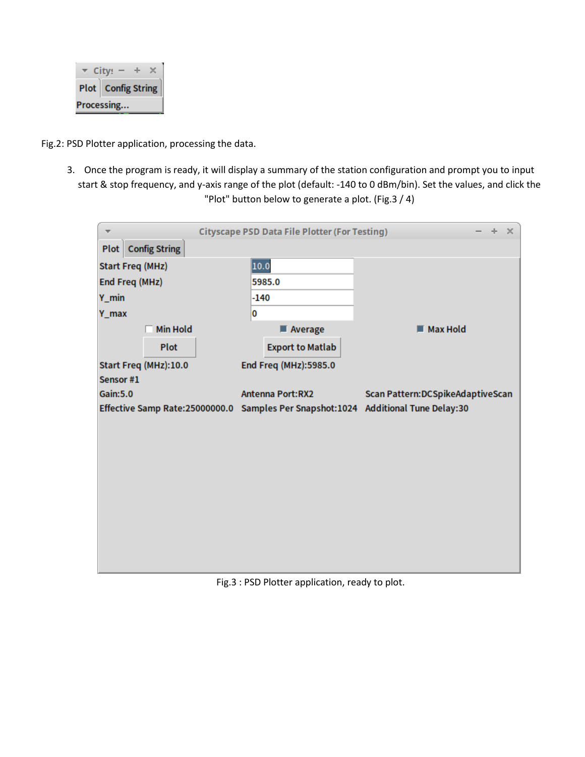|                      | $City:$ – |  |  |  |  |
|----------------------|-----------|--|--|--|--|
| Plot   Config String |           |  |  |  |  |
| Processing           |           |  |  |  |  |

Fig.2: PSD Plotter application, processing the data.

3. Once the program is ready, it will display a summary of the station configuration and prompt you to input start & stop frequency, and y-axis range of the plot (default: -140 to 0 dBm/bin). Set the values, and click the "Plot" button below to generate a plot. (Fig.3 / 4)

| <b>Cityscape PSD Data File Plotter (For Testing)</b><br>÷.                        |                           |  |                         |                         |  | $\mathbb{R}$                      |  |
|-----------------------------------------------------------------------------------|---------------------------|--|-------------------------|-------------------------|--|-----------------------------------|--|
|                                                                                   | <b>Plot</b> Config String |  |                         |                         |  |                                   |  |
| <b>Start Freq (MHz)</b>                                                           |                           |  | 10.0                    |                         |  |                                   |  |
| End Freq (MHz)                                                                    |                           |  | 5985.0                  |                         |  |                                   |  |
| $Y_{min}$                                                                         |                           |  | -140                    |                         |  |                                   |  |
| Y_max                                                                             |                           |  | 0                       |                         |  |                                   |  |
|                                                                                   | <b>Min Hold</b>           |  |                         | Average                 |  | Max Hold                          |  |
|                                                                                   | Plot                      |  |                         | <b>Export to Matlab</b> |  |                                   |  |
|                                                                                   | Start Freq (MHz):10.0     |  |                         | End Freq (MHz):5985.0   |  |                                   |  |
| Sensor #1                                                                         |                           |  |                         |                         |  |                                   |  |
| <b>Gain:5.0</b>                                                                   |                           |  | <b>Antenna Port:RX2</b> |                         |  | Scan Pattern: DCSpikeAdaptiveScan |  |
| Effective Samp Rate:25000000.0 Samples Per Snapshot:1024 Additional Tune Delay:30 |                           |  |                         |                         |  |                                   |  |
|                                                                                   |                           |  |                         |                         |  |                                   |  |
|                                                                                   |                           |  |                         |                         |  |                                   |  |
|                                                                                   |                           |  |                         |                         |  |                                   |  |
|                                                                                   |                           |  |                         |                         |  |                                   |  |
|                                                                                   |                           |  |                         |                         |  |                                   |  |
|                                                                                   |                           |  |                         |                         |  |                                   |  |
|                                                                                   |                           |  |                         |                         |  |                                   |  |
|                                                                                   |                           |  |                         |                         |  |                                   |  |
|                                                                                   |                           |  |                         |                         |  |                                   |  |

Fig.3 : PSD Plotter application, ready to plot.